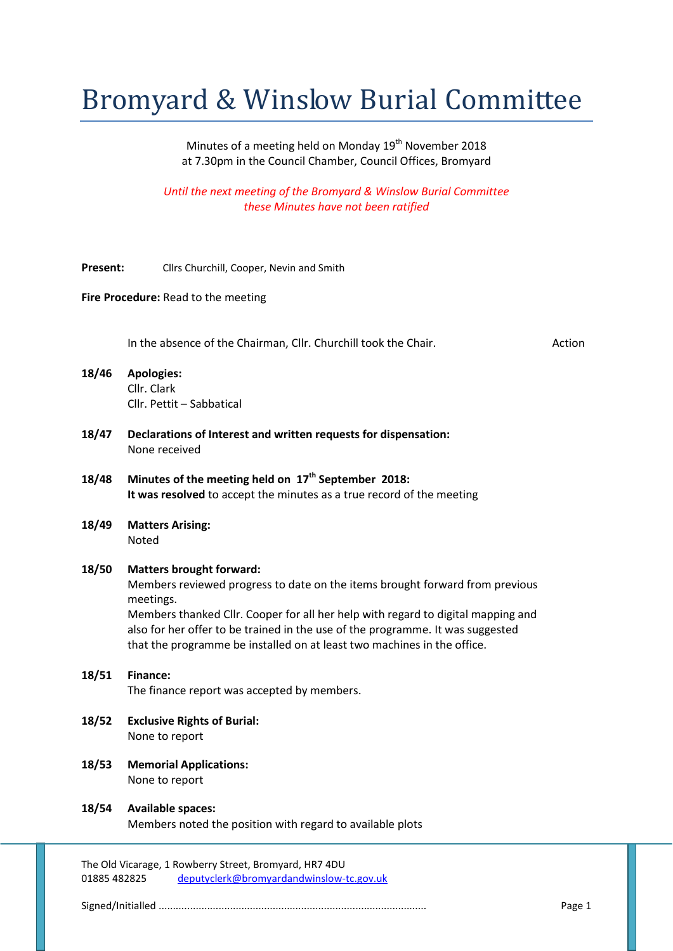# Bromyard & Winslow Burial Committee

Minutes of a meeting held on Monday 19<sup>th</sup> November 2018 at 7.30pm in the Council Chamber, Council Offices, Bromyard

*Until the next meeting of the Bromyard & Winslow Burial Committee these Minutes have not been ratified*

**Present:** Cllrs Churchill, Cooper, Nevin and Smith

#### **Fire Procedure:** Read to the meeting

In the absence of the Chairman, Cllr. Churchill took the Chair. Action

- **18/46 Apologies:** Cllr. Clark Cllr. Pettit – Sabbatical
- **18/47 Declarations of Interest and written requests for dispensation:** None received
- **18/48 Minutes of the meeting held on 17th September 2018: It was resolved** to accept the minutes as a true record of the meeting
- **18/49 Matters Arising:** Noted

#### **18/50 Matters brought forward:**

Members reviewed progress to date on the items brought forward from previous meetings.

Members thanked Cllr. Cooper for all her help with regard to digital mapping and also for her offer to be trained in the use of the programme. It was suggested that the programme be installed on at least two machines in the office.

## **18/51 Finance:**

The finance report was accepted by members.

- **18/52 Exclusive Rights of Burial:** None to report
- **18/53 Memorial Applications:** None to report

**18/54 Available spaces:** Members noted the position with regard to available plots

The Old Vicarage, 1 Rowberry Street, Bromyard, HR7 4DU 01885 482825 deputyclerk@bromyardandwinslow-tc.gov.uk

Signed/Initialled .............................................................................................. Page 1